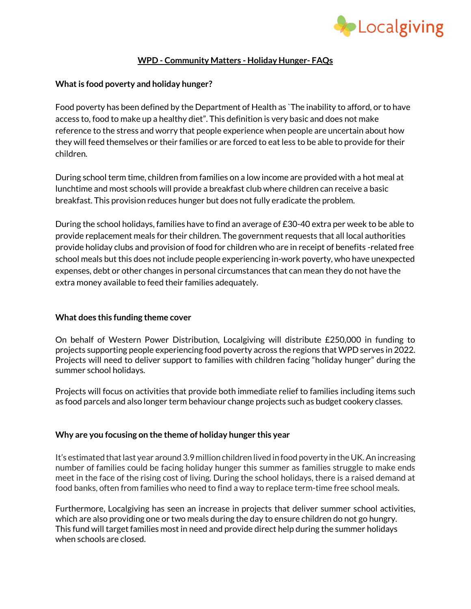

## **WPD - Community Matters - Holiday Hunger- FAQs**

## **What is food poverty and holiday hunger?**

Food poverty has been defined by the Department of Health as `The inability to afford, or to have access to, food to make up a healthy diet". This definition is very basic and does not make reference to the stress and worry that people experience when people are uncertain about how they will feed themselves or their families or are forced to eat less to be able to provide for their children.

During school term time, children from families on a low income are provided with a hot meal at lunchtime and most schools will provide a breakfast club where children can receive a basic breakfast. This provision reduces hunger but does not fully eradicate the problem.

During the school holidays, families have to find an average of £30-40 extra per week to be able to provide replacement meals for their children. The government requests that all local authorities provide holiday clubs and provision of food for children who are in receipt of benefits -related free school meals but this does not include people experiencing in-work poverty, who have unexpected expenses, debt or other changes in personal circumstances that can mean they do not have the extra money available to feed their families adequately.

## **What does this funding theme cover**

On behalf of Western Power Distribution, Localgiving will distribute £250,000 in funding to projects supporting people experiencing food poverty across the regions that WPD serves in 2022. Projects will need to deliver support to families with children facing "holiday hunger" during the summer school holidays.

Projects will focus on activities that provide both immediate relief to families including items such as food parcels and also longer term behaviour change projects such as budget cookery classes.

#### **Why are you focusing on the theme of holiday hunger this year**

It's estimated that last year around 3.9 million children lived in food poverty in the UK. An increasing number of families could be facing holiday hunger this summer as families struggle to make ends meet in the face of the rising cost of living. During the school holidays, there is a raised demand at food banks, often from families who need to find a way to replace term-time free school meals.

Furthermore, Localgiving has seen an increase in projects that deliver summer school activities, which are also providing one or two meals during the day to ensure children do not go hungry. This fund will target families most in need and provide direct help during the summer holidays when schools are closed.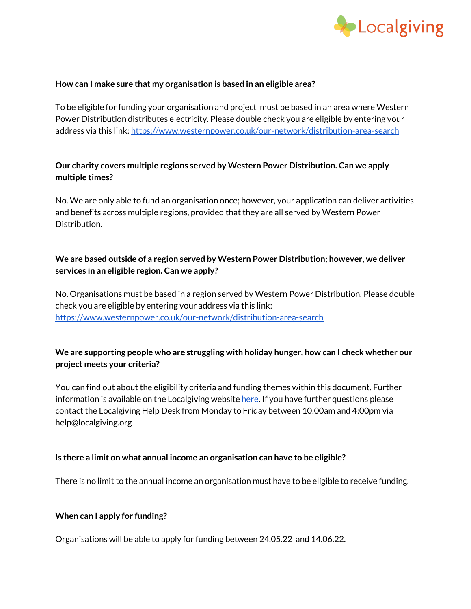

## **How can I make sure that my organisation is based in an eligible area?**

To be eligible for funding your organisation and project must be based in an area where Western Power Distribution distributes electricity. Please double check you are eligible by entering your address via this link[: https://www.westernpower.co.uk/our-network/distribution-area-search](https://www.westernpower.co.uk/our-network/distribution-area-search)

## **Our charity covers multiple regions served by Western Power Distribution. Can we apply multiple times?**

No. We are only able to fund an organisation once; however, your application can deliver activities and benefits across multiple regions, provided that they are all served by Western Power Distribution.

# **We are based outside of a region served by Western Power Distribution; however, we deliver services in an eligible region. Can we apply?**

No. Organisations must be based in a region served by Western Power Distribution. Please double check you are eligible by entering your address via this link: <https://www.westernpower.co.uk/our-network/distribution-area-search>

## **We are supporting people who are struggling with holiday hunger, how can I check whether our project meets your criteria?**

You can find out about the eligibility criteria and funding themes within this document. Further information is available on the Localgiving websit[e here](https://localgiving.org/about/WPD-community-matters-fund/). If you have further questions please contact the Localgiving Help Desk from Monday to Friday between 10:00am and 4:00pm via help@localgiving.org

#### **Is there a limit on what annual income an organisation can have to be eligible?**

There is no limit to the annual income an organisation must have to be eligible to receive funding.

## **When can I apply for funding?**

Organisations will be able to apply for funding between 24.05.22 and 14.06.22.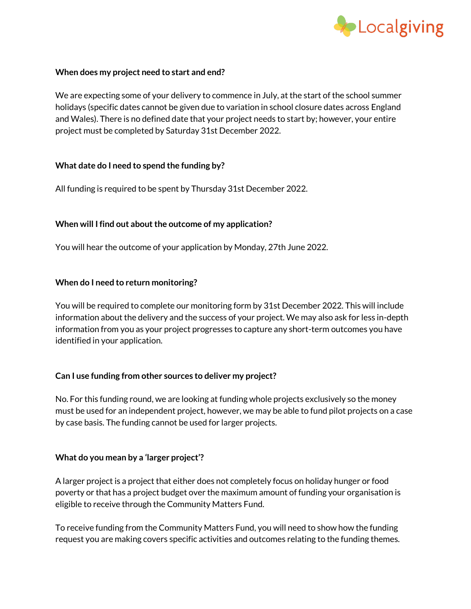

## **When does my project need to start and end?**

We are expecting some of your delivery to commence in July, at the start of the school summer holidays (specific dates cannot be given due to variation in school closure dates across England and Wales). There is no defined date that your project needs to start by; however, your entire project must be completed by Saturday 31st December 2022.

#### **What date do I need to spend the funding by?**

All funding is required to be spent by Thursday 31st December 2022.

## **When will I find out about the outcome of my application?**

You will hear the outcome of your application by Monday, 27th June 2022.

#### **When do I need to return monitoring?**

You will be required to complete our monitoring form by 31st December 2022. This will include information about the delivery and the success of your project. We may also ask for less in-depth information from you as your project progresses to capture any short-term outcomes you have identified in your application.

## **Can I use funding from other sources to deliver my project?**

No. For this funding round, we are looking at funding whole projects exclusively so the money must be used for an independent project, however, we may be able to fund pilot projects on a case by case basis. The funding cannot be used for larger projects.

#### **What do you mean by a 'larger project'?**

A larger project is a project that either does not completely focus on holiday hunger or food poverty or that has a project budget over the maximum amount of funding your organisation is eligible to receive through the Community Matters Fund.

To receive funding from the Community Matters Fund, you will need to show how the funding request you are making covers specific activities and outcomes relating to the funding themes.